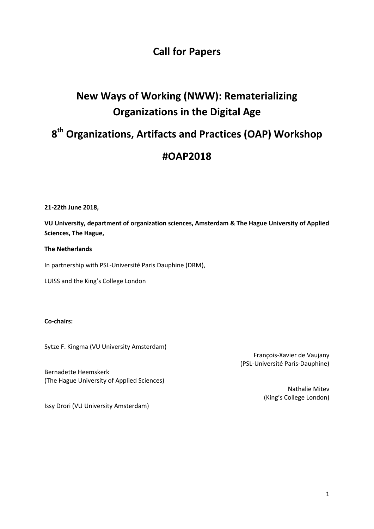## **Call for Papers**

# **New Ways of Working (NWW): Rematerializing Organizations in the Digital Age**

# **8 th Organizations, Artifacts and Practices (OAP) Workshop**

### **#OAP2018**

**21-22th June 2018,** 

**VU University, department of organization sciences, Amsterdam & The Hague University of Applied Sciences, The Hague,** 

#### **The Netherlands**

In partnership with PSL-Université Paris Dauphine (DRM),

LUISS and the King's College London

#### **Co-chairs:**

Sytze F. Kingma (VU University Amsterdam)

François-Xavier de Vaujany (PSL-Université Paris-Dauphine)

Bernadette Heemskerk (The Hague University of Applied Sciences)

> Nathalie Mitev (King's College London)

Issy Drori (VU University Amsterdam)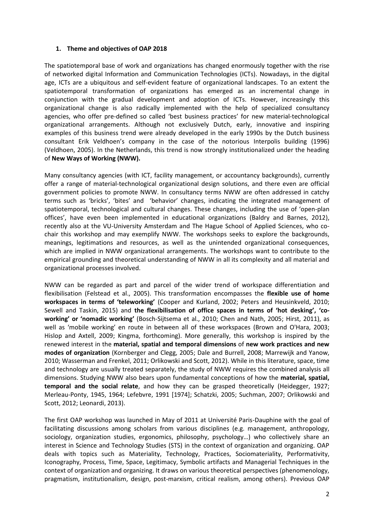#### **1. Theme and objectives of OAP 2018**

The spatiotemporal base of work and organizations has changed enormously together with the rise of networked digital Information and Communication Technologies (ICTs). Nowadays, in the digital age, ICTs are a ubiquitous and self-evident feature of organizational landscapes. To an extent the spatiotemporal transformation of organizations has emerged as an incremental change in conjunction with the gradual development and adoption of ICTs. However, increasingly this organizational change is also radically implemented with the help of specialized consultancy agencies, who offer pre-defined so called 'best business practices' for new material-technological organizational arrangements. Although not exclusively Dutch, early, innovative and inspiring examples of this business trend were already developed in the early 1990s by the Dutch business consultant Erik Veldhoen's company in the case of the notorious Interpolis building (1996) [\(Veldhoen, 2005\)](#page-4-0). In the Netherlands, this trend is now strongly institutionalized under the heading of **New Ways of Working (NWW).**

Many consultancy agencies (with ICT, facility management, or accountancy backgrounds), currently offer a range of material-technological organizational design solutions, and there even are official government policies to promote NWW. In consultancy terms NWW are often addressed in catchy terms such as 'bricks', 'bites' and 'behavior' changes, indicating the integrated management of spatiotemporal, technological and cultural changes. These changes, including the use of 'open-plan offices', have even been implemented in educational organizations [\(Baldry and Barnes, 2012\)](#page-3-0), recently also at the VU-University Amsterdam and The Hague School of Applied Sciences, who cochair this workshop and may exemplify NWW. The workshops seeks to explore the backgrounds, meanings, legitimations and resources, as well as the unintended organizational consequences, which are implied in NWW organizational arrangements. The workshops want to contribute to the empirical grounding and theoretical understanding of NWW in all its complexity and all material and organizational processes involved.

NWW can be regarded as part and parcel of the wider trend of workspace differentiation and flexibilisation [\(Felstead et al., 2005\)](#page-3-1). This transformation encompasses the **flexible use of home**  workspaces in terms of 'teleworking' [\(Cooper and Kurland, 2002;](#page-3-2) [Peters and Heusinkveld, 2010;](#page-3-3) [Sewell and Taskin, 2015\)](#page-3-4) and the flexibilisation of office spaces in terms of 'hot desking', 'co-working' or 'nomadic working' [\(Bosch-Sijtsema et al., 2010;](#page-3-5) [Chen and Nath, 2005;](#page-3-6) [Hirst, 2011\)](#page-3-7), as well as 'mobile working' en route in between all of these workspaces [\(Brown and O'Hara, 2003;](#page-3-8) [Hislop and Axtell, 2009;](#page-3-9) [Kingma, forthcoming\)](#page-3-10). More generally, this workshop is inspired by the renewed interest in the **material, spatial and temporal dimensions** of **new work practices and new modes of organization** [\(Kornberger and Clegg, 2005;](#page-3-11) [Dale and Burrell, 2008;](#page-3-12) [Marrewijk and Yanow,](#page-3-13)  [2010;](#page-3-13) [Wasserman and Frenkel, 2011;](#page-4-1) [Orlikowski and Scott, 2012\)](#page-3-14). While in this literature, space, time and technology are usually treated separately, the study of NWW requires the combined analysis all dimensions. Studying NWW also bears upon fundamental conceptions of how the **material, spatial, temporal and the social relate**, and how they can be grasped theoretically (Heidegger, 1927; Merleau-Ponty, 1945, 1964; [Lefebvre, 1991 \[1974\];](#page-3-15) [Schatzki, 2005;](#page-3-16) [Suchman, 2007;](#page-4-2) [Orlikowski and](#page-3-14)  [Scott, 2012;](#page-3-14) [Leonardi, 2013\)](#page-3-17).

The first OAP workshop was launched in May of 2011 at Université Paris-Dauphine with the goal of facilitating discussions among scholars from various disciplines (e.g. management, anthropology, sociology, organization studies, ergonomics, philosophy, psychology...) who collectively share an interest in Science and Technology Studies (STS) in the context of organization and organizing. OAP deals with topics such as Materiality, Technology, Practices, Sociomateriality, Performativity, Iconography, Process, Time, Space, Legitimacy, Symbolic artifacts and Managerial Techniques in the context of organization and organizing. It draws on various theoretical perspectives (phenomenology, pragmatism, institutionalism, design, post-marxism, critical realism, among others). Previous OAP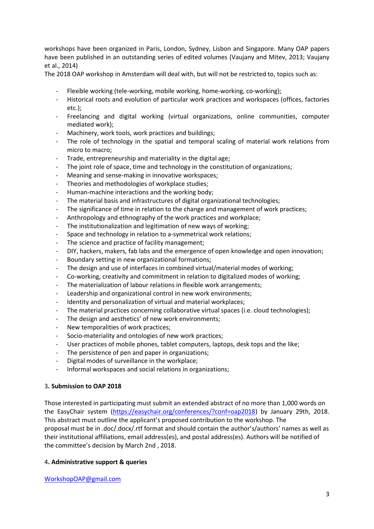workshops have been organized in Paris, London, Sydney, Lisbon and Singapore. Many OAP papers have been published in an outstanding series of edited volumes [\(Vaujany and Mitev, 2013;](#page-4-3) [Vaujany](#page-4-4)  [et al., 2014\)](#page-4-4)

The 2018 OAP workshop in Amsterdam will deal with, but will not be restricted to, topics such as:

- Flexible working (tele-working, mobile working, home-working, co-working);
- Historical roots and evolution of particular work practices and workspaces (offices, factories etc.);
- Freelancing and digital working (virtual organizations, online communities, computer mediated work);
- Machinery, work tools, work practices and buildings;
- The role of technology in the spatial and temporal scaling of material work relations from micro to macro;
- Trade, entrepreneurship and materiality in the digital age;
- The joint role of space, time and technology in the constitution of organizations;
- Meaning and sense-making in innovative workspaces;
- Theories and methodologies of workplace studies;
- Human-machine interactions and the working body;
- The material basis and infrastructures of digital organizational technologies;
- The significance of time in relation to the change and management of work practices;
- Anthropology and ethnography of the work practices and workplace;
- The institutionalization and legitimation of new ways of working;
- Space and technology in relation to a-symmetrical work relations;
- The science and practice of facility management;
- DIY, hackers, makers, fab labs and the emergence of open knowledge and open innovation;
- Boundary setting in new organizational formations;
- The design and use of interfaces in combined virtual/material modes of working;
- Co-working, creativity and commitment in relation to digitalized modes of working;
- The materialization of labour relations in flexible work arrangements;
- Leadership and organizational control in new work environments;
- Identity and personalization of virtual and material workplaces;
- The material practices concerning collaborative virtual spaces (i.e. cloud technologies);
- The design and aesthetics' of new work environments;
- New temporalities of work practices;
- Socio-materiality and ontologies of new work practices;
- User practices of mobile phones, tablet computers, laptops, desk tops and the like;
- The persistence of pen and paper in organizations;
- Digital modes of surveillance in the workplace;
- Informal workspaces and social relations in organizations;

#### 3**. Submission to OAP 2018**

Those interested in participating must submit an extended abstract of no more than 1,000 words on the EasyChair system [\(https://easychair.org/conferences/?conf=oap2018\)](https://easychair.org/conferences/?conf=oap2018) by January 29th, 2018. This abstract must outline the applicant's proposed contribution to the workshop. The proposal must be in .doc/.docx/.rtf format and should contain the author's/authors' names as well as their institutional affiliations, email address(es), and postal address(es). Authors will be notified of the committee's decision by March 2nd, 2018.

#### 4**. Administrative support & queries**

[WorkshopOAP@gmail.com](mailto:WorkshopOAP@gmail.com)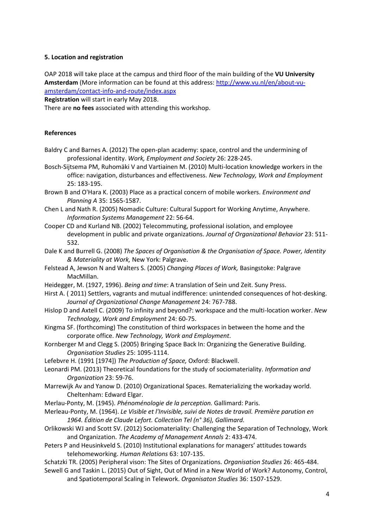#### **5. Location and registration**

OAP 2018 will take place at the campus and third floor of the main building of the **VU University Amsterdam** (More information can be found at this address: [http://www.vu.nl/en/about-vu](http://www.vu.nl/en/about-vu-amsterdam/contact-info-and-route/index.aspx)[amsterdam/contact-info-and-route/index.aspx](http://www.vu.nl/en/about-vu-amsterdam/contact-info-and-route/index.aspx)

**Registration** will start in early May 2018.

There are **no fees** associated with attending this workshop.

#### **References**

- <span id="page-3-0"></span>Baldry C and Barnes A. (2012) The open-plan academy: space, control and the undermining of professional identity. *Work, Employment and Society* 26: 228-245.
- <span id="page-3-5"></span>Bosch-Sijtsema PM, Ruhomäki V and Vartiainen M. (2010) Multi-location knowledge workers in the office: navigation, disturbances and effectiveness. *New Technology, Work and Employment* 25: 183-195.
- <span id="page-3-8"></span>Brown B and O'Hara K. (2003) Place as a practical concern of mobile workers. *Environment and Planning A* 35: 1565-1587.
- <span id="page-3-6"></span>Chen L and Nath R. (2005) Nomadic Culture: Cultural Support for Working Anytime, Anywhere. *Information Systems Management* 22: 56-64.
- <span id="page-3-2"></span>Cooper CD and Kurland NB. (2002) Telecommuting, professional isolation, and employee development in public and private organizations. *Journal of Organizational Behavior* 23: 511- 532.
- <span id="page-3-12"></span>Dale K and Burrell G. (2008) *The Spaces of Organisation & the Organisation of Space. Power, Identity & Materiality at Work,* New York: Palgrave.
- <span id="page-3-1"></span>Felstead A, Jewson N and Walters S. (2005) *Changing Places of Work,* Basingstoke: Palgrave MacMillan.
- <span id="page-3-7"></span>Heidegger, M. (1927, 1996). *Being and time*: A translation of Sein und Zeit. Suny Press.
- Hirst A. ( 2011) Settlers, vagrants and mutual indifference: unintended consequences of hot-desking. *Journal of Organizational Change Management* 24: 767-788.
- <span id="page-3-9"></span>Hislop D and Axtell C. (2009) To infinity and beyond?: workspace and the multi-location worker. *New Technology, Work and Employment* 24: 60-75.
- <span id="page-3-10"></span>Kingma SF. (forthcoming) The constitution of third workspaces in between the home and the corporate office. *New Technology, Work and Employment*.
- <span id="page-3-11"></span>Kornberger M and Clegg S. (2005) Bringing Space Back In: Organizing the Generative Building. *Organisation Studies* 25: 1095-1114.
- <span id="page-3-15"></span>Lefebvre H. (1991 [1974]) *The Production of Space,* Oxford: Blackwell.
- <span id="page-3-17"></span>Leonardi PM. (2013) Theoretical foundations for the study of sociomateriality. *Information and Organization* 23: 59-76.
- <span id="page-3-13"></span>Marrewijk Av and Yanow D. (2010) Organizational Spaces. Rematerializing the workaday world. Cheltenham: Edward Elgar.
- <span id="page-3-14"></span>Merlau-Ponty, M. (1945). *Phénoménologie de la perception.* Gallimard: Paris.
- Merleau-Ponty, M. (1964). *Le Visible et l'Invisible, suivi de Notes de travail. Première parution en 1964. Édition de Claude Lefort. Collection Tel (n° 36), Gallimard.*
- Orlikowski WJ and Scott SV. (2012) Sociomateriality: Challenging the Separation of Technology, Work and Organization. *The Academy of Management Annals* 2: 433-474.
- <span id="page-3-3"></span>Peters P and Heusinkveld S. (2010) Institutional explanations for managers' attitudes towards telehomeworking. *Human Relations* 63: 107-135.
- <span id="page-3-16"></span>Schatzki TR. (2005) Peripheral vison: The Sites of Organizations. *Organisation Studies* 26: 465-484.
- <span id="page-3-4"></span>Sewell G and Taskin L. (2015) Out of Sight, Out of Mind in a New World of Work? Autonomy, Control, and Spatiotemporal Scaling in Telework. *Organisaton Studies* 36: 1507-1529.